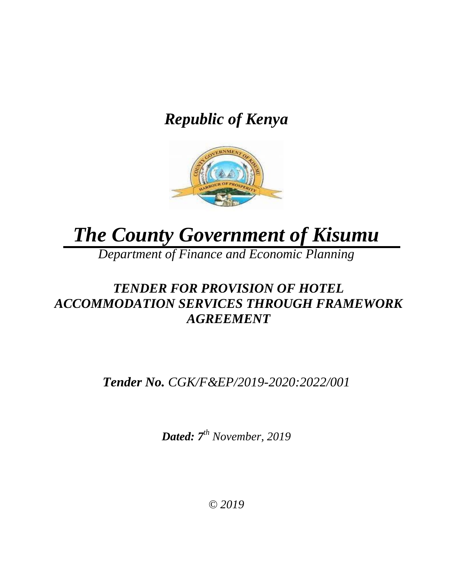# *Republic of Kenya*



# *The County Government of Kisumu*

*Department of Finance and Economic Planning*

# *TENDER FOR PROVISION OF HOTEL ACCOMMODATION SERVICES THROUGH FRAMEWORK AGREEMENT*

*Tender No. CGK/F&EP/2019-2020:2022/001*

*Dated: 7 th November, 2019*

*© 2019*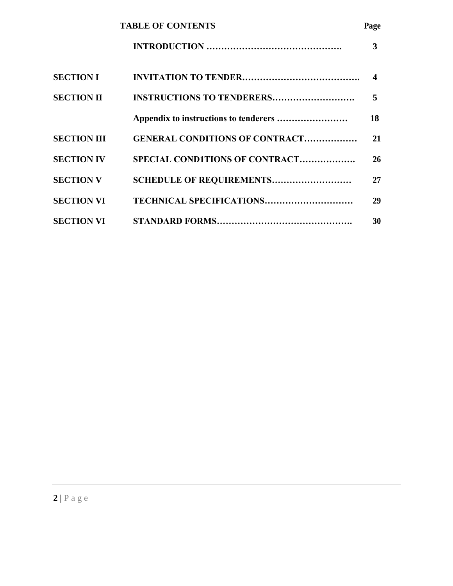|                    | <b>TABLE OF CONTENTS</b>              | Page             |
|--------------------|---------------------------------------|------------------|
|                    |                                       | 3                |
| <b>SECTION I</b>   |                                       | $\boldsymbol{4}$ |
| <b>SECTION II</b>  | <b>INSTRUCTIONS TO TENDERERS</b>      | 5                |
|                    |                                       | 18               |
| <b>SECTION III</b> | <b>GENERAL CONDITIONS OF CONTRACT</b> | 21               |
| <b>SECTION IV</b>  | SPECIAL CONDITIONS OF CONTRACT        | 26               |
| <b>SECTION V</b>   | <b>SCHEDULE OF REQUIREMENTS</b>       | 27               |
| <b>SECTION VI</b>  | TECHNICAL SPECIFICATIONS              | 29               |
| <b>SECTION VI</b>  |                                       | 30               |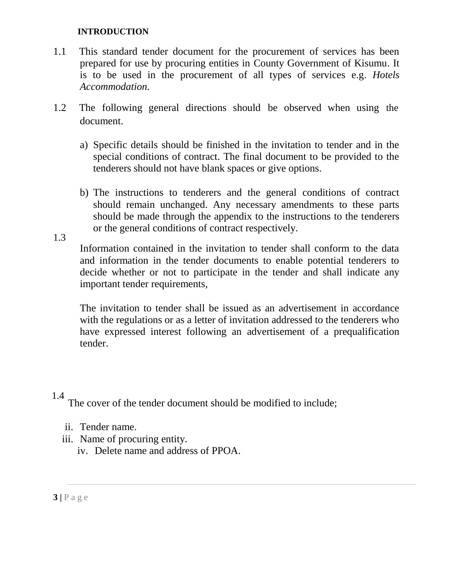#### **INTRODUCTION**

- 1.1 This standard tender document for the procurement of services has been prepared for use by procuring entities in County Government of Kisumu. It is to be used in the procurement of all types of services e.g. *Hotels Accommodation.*
- 1.2 The following general directions should be observed when using the document.
	- a) Specific details should be finished in the invitation to tender and in the special conditions of contract. The final document to be provided to the tenderers should not have blank spaces or give options.
	- b) The instructions to tenderers and the general conditions of contract should remain unchanged. Any necessary amendments to these parts should be made through the appendix to the instructions to the tenderers or the general conditions of contract respectively.

Information contained in the invitation to tender shall conform to the data and information in the tender documents to enable potential tenderers to decide whether or not to participate in the tender and shall indicate any important tender requirements,

The invitation to tender shall be issued as an advertisement in accordance with the regulations or as a letter of invitation addressed to the tenderers who have expressed interest following an advertisement of a prequalification tender.

## 1.4

1.3

The cover of the tender document should be modified to include;

- ii. Tender name.
- iii. Name of procuring entity.
	- iv. Delete name and address of PPOA.

**3 |** P a g e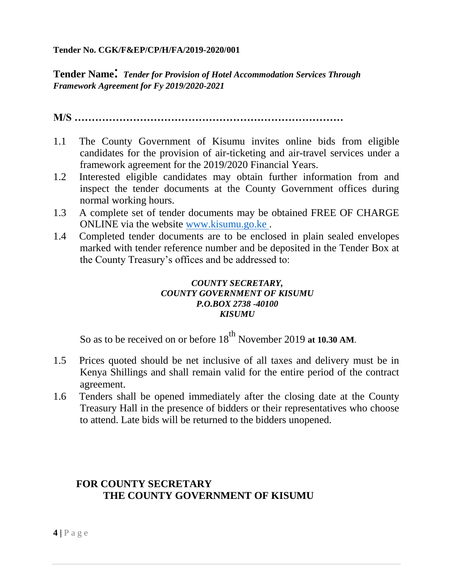#### **Tender No. CGK/F&EP/CP/H/FA/2019-2020/001**

**Tender Name**: *Tender for Provision of Hotel Accommodation Services Through Framework Agreement for Fy 2019/2020-2021*

**M/S ……………………………………………………………………**

- 1.1 The County Government of Kisumu invites online bids from eligible candidates for the provision of air-ticketing and air-travel services under a framework agreement for the 2019/2020 Financial Years.
- 1.2 Interested eligible candidates may obtain further information from and inspect the tender documents at the County Government offices during normal working hours.
- 1.3 A complete set of tender documents may be obtained FREE OF CHARGE ONLINE via the website [www.kisumu.go.ke .](http://www.kisumu.go.ke/)
- 1.4 Completed tender documents are to be enclosed in plain sealed envelopes marked with tender reference number and be deposited in the Tender Box at the County Treasury's offices and be addressed to:

#### *COUNTY SECRETARY, COUNTY GOVERNMENT OF KISUMU P.O.BOX 2738 -40100 KISUMU*

So as to be received on or before 18<sup>th</sup> November 2019 at 10.30 AM.

- 1.5 Prices quoted should be net inclusive of all taxes and delivery must be in Kenya Shillings and shall remain valid for the entire period of the contract agreement.
- 1.6 Tenders shall be opened immediately after the closing date at the County Treasury Hall in the presence of bidders or their representatives who choose to attend. Late bids will be returned to the bidders unopened.

# **FOR COUNTY SECRETARY THE COUNTY GOVERNMENT OF KISUMU**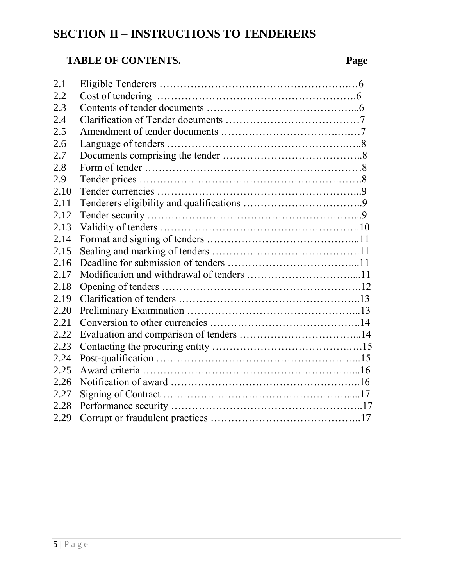# **SECTION II – INSTRUCTIONS TO TENDERERS**

# **TABLE OF CONTENTS. Page**

| 2.1  |  |
|------|--|
| 2.2  |  |
| 2.3  |  |
| 2.4  |  |
| 2.5  |  |
| 2.6  |  |
| 2.7  |  |
| 2.8  |  |
| 2.9  |  |
| 2.10 |  |
| 2.11 |  |
| 2.12 |  |
| 2.13 |  |
| 2.14 |  |
| 2.15 |  |
| 2.16 |  |
| 2.17 |  |
| 2.18 |  |
| 2.19 |  |
| 2.20 |  |
| 2.21 |  |
| 2.22 |  |
| 2.23 |  |
| 2.24 |  |
| 2.25 |  |
| 2.26 |  |
| 2.27 |  |
| 2.28 |  |
| 2.29 |  |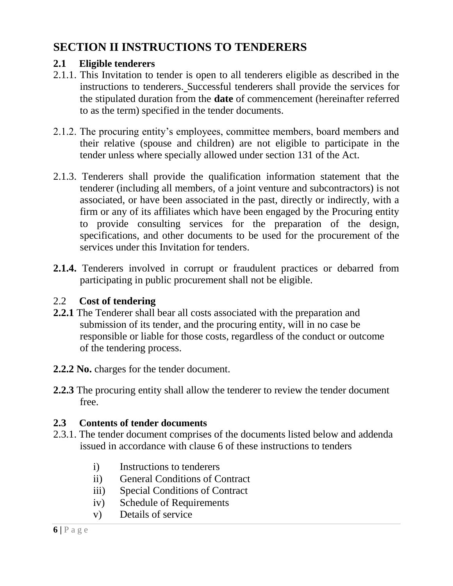# **SECTION II INSTRUCTIONS TO TENDERERS**

# **2.1 Eligible tenderers**

- 2.1.1. This Invitation to tender is open to all tenderers eligible as described in the instructions to tenderers. Successful tenderers shall provide the services for the stipulated duration from the **date** of commencement (hereinafter referred to as the term) specified in the tender documents.
- 2.1.2. The procuring entity's employees, committee members, board members and their relative (spouse and children) are not eligible to participate in the tender unless where specially allowed under section 131 of the Act.
- 2.1.3. Tenderers shall provide the qualification information statement that the tenderer (including all members, of a joint venture and subcontractors) is not associated, or have been associated in the past, directly or indirectly, with a firm or any of its affiliates which have been engaged by the Procuring entity to provide consulting services for the preparation of the design, specifications, and other documents to be used for the procurement of the services under this Invitation for tenders.
- **2.1.4.** Tenderers involved in corrupt or fraudulent practices or debarred from participating in public procurement shall not be eligible.

# 2.2 **Cost of tendering**

- **2.2.1** The Tenderer shall bear all costs associated with the preparation and submission of its tender, and the procuring entity, will in no case be responsible or liable for those costs, regardless of the conduct or outcome of the tendering process.
- **2.2.2 No.** charges for the tender document.
- **2.2.3** The procuring entity shall allow the tenderer to review the tender document free.

# **2.3 Contents of tender documents**

- 2.3.1. The tender document comprises of the documents listed below and addenda issued in accordance with clause 6 of these instructions to tenders
	- i) Instructions to tenderers
	- ii) General Conditions of Contract
	- iii) Special Conditions of Contract
	- iv) Schedule of Requirements
	- v) Details of service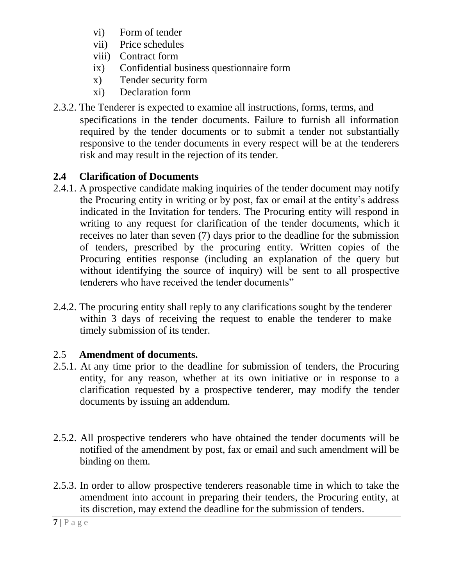- vi) Form of tender
- vii) Price schedules
- viii) Contract form
- ix) Confidential business questionnaire form
- x) Tender security form
- xi) Declaration form
- 2.3.2. The Tenderer is expected to examine all instructions, forms, terms, and specifications in the tender documents. Failure to furnish all information required by the tender documents or to submit a tender not substantially responsive to the tender documents in every respect will be at the tenderers risk and may result in the rejection of its tender.

# **2.4 Clarification of Documents**

- 2.4.1. A prospective candidate making inquiries of the tender document may notify the Procuring entity in writing or by post, fax or email at the entity's address indicated in the Invitation for tenders. The Procuring entity will respond in writing to any request for clarification of the tender documents, which it receives no later than seven (7) days prior to the deadline for the submission of tenders, prescribed by the procuring entity. Written copies of the Procuring entities response (including an explanation of the query but without identifying the source of inquiry) will be sent to all prospective tenderers who have received the tender documents"
- 2.4.2. The procuring entity shall reply to any clarifications sought by the tenderer within 3 days of receiving the request to enable the tenderer to make timely submission of its tender.

# 2.5 **Amendment of documents.**

- 2.5.1. At any time prior to the deadline for submission of tenders, the Procuring entity, for any reason, whether at its own initiative or in response to a clarification requested by a prospective tenderer, may modify the tender documents by issuing an addendum.
- 2.5.2. All prospective tenderers who have obtained the tender documents will be notified of the amendment by post, fax or email and such amendment will be binding on them.
- 2.5.3. In order to allow prospective tenderers reasonable time in which to take the amendment into account in preparing their tenders, the Procuring entity, at its discretion, may extend the deadline for the submission of tenders.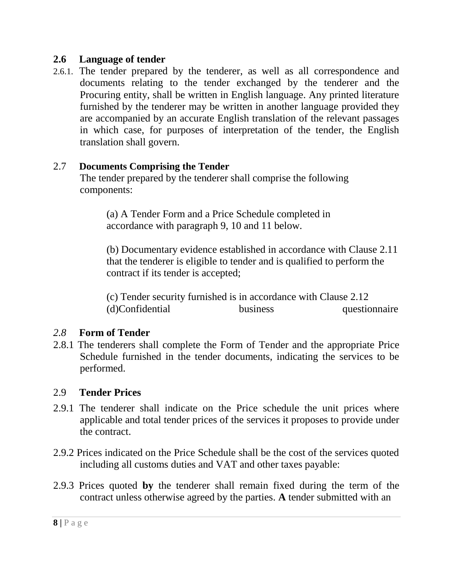# **2.6 Language of tender**

2.6.1. The tender prepared by the tenderer, as well as all correspondence and documents relating to the tender exchanged by the tenderer and the Procuring entity, shall be written in English language. Any printed literature furnished by the tenderer may be written in another language provided they are accompanied by an accurate English translation of the relevant passages in which case, for purposes of interpretation of the tender, the English translation shall govern.

# 2.7 **Documents Comprising the Tender**

The tender prepared by the tenderer shall comprise the following components:

(a) A Tender Form and a Price Schedule completed in accordance with paragraph 9, 10 and 11 below.

(b) Documentary evidence established in accordance with Clause 2.11 that the tenderer is eligible to tender and is qualified to perform the contract if its tender is accepted;

(c) Tender security furnished is in accordance with Clause 2.12 (d)Confidential business questionnaire

# *2.8* **Form of Tender**

2.8.1 The tenderers shall complete the Form of Tender and the appropriate Price Schedule furnished in the tender documents, indicating the services to be performed.

## 2.9 **Tender Prices**

- 2.9.1 The tenderer shall indicate on the Price schedule the unit prices where applicable and total tender prices of the services it proposes to provide under the contract.
- 2.9.2 Prices indicated on the Price Schedule shall be the cost of the services quoted including all customs duties and VAT and other taxes payable:
- 2.9.3 Prices quoted **by** the tenderer shall remain fixed during the term of the contract unless otherwise agreed by the parties. **A** tender submitted with an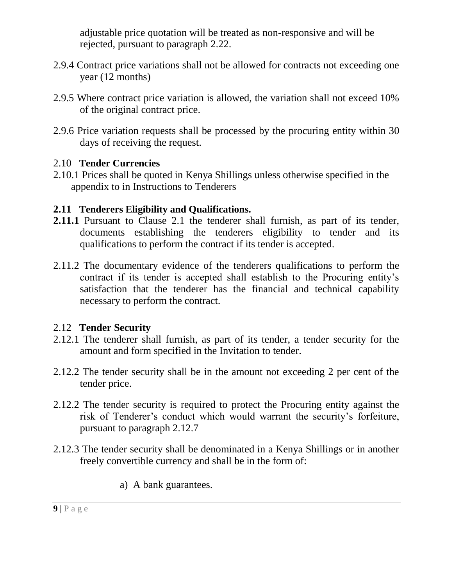adjustable price quotation will be treated as non-responsive and will be rejected, pursuant to paragraph 2.22.

- 2.9.4 Contract price variations shall not be allowed for contracts not exceeding one year (12 months)
- 2.9.5 Where contract price variation is allowed, the variation shall not exceed 10% of the original contract price.
- 2.9.6 Price variation requests shall be processed by the procuring entity within 30 days of receiving the request.

# 2.10 **Tender Currencies**

2.10.1 Prices shall be quoted in Kenya Shillings unless otherwise specified in the appendix to in Instructions to Tenderers

# **2.11 Tenderers Eligibility and Qualifications.**

- **2.11.1** Pursuant to Clause 2.1 the tenderer shall furnish, as part of its tender, documents establishing the tenderers eligibility to tender and its qualifications to perform the contract if its tender is accepted.
- 2.11.2 The documentary evidence of the tenderers qualifications to perform the contract if its tender is accepted shall establish to the Procuring entity's satisfaction that the tenderer has the financial and technical capability necessary to perform the contract.

# 2.12 **Tender Security**

- 2.12.1 The tenderer shall furnish, as part of its tender, a tender security for the amount and form specified in the Invitation to tender.
- 2.12.2 The tender security shall be in the amount not exceeding 2 per cent of the tender price.
- 2.12.2 The tender security is required to protect the Procuring entity against the risk of Tenderer's conduct which would warrant the security's forfeiture, pursuant to paragraph 2.12.7
- 2.12.3 The tender security shall be denominated in a Kenya Shillings or in another freely convertible currency and shall be in the form of:
	- a) A bank guarantees.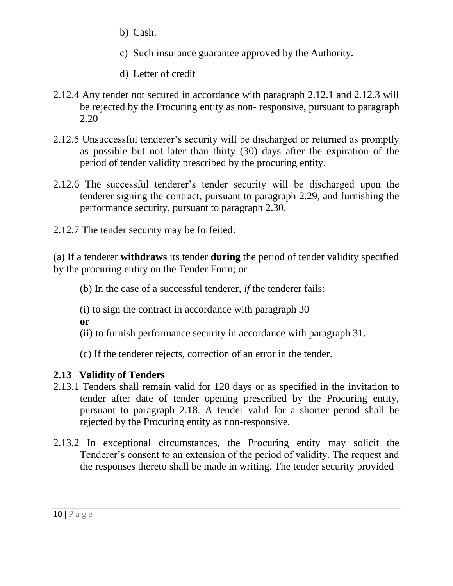- b) Cash.
- c) Such insurance guarantee approved by the Authority.
- d) Letter of credit
- 2.12.4 Any tender not secured in accordance with paragraph 2.12.1 and 2.12.3 will be rejected by the Procuring entity as non- responsive, pursuant to paragraph 2.20
- 2.12.5 Unsuccessful tenderer's security will be discharged or returned as promptly as possible but not later than thirty (30) days after the expiration of the period of tender validity prescribed by the procuring entity.
- 2.12.6 The successful tenderer's tender security will be discharged upon the tenderer signing the contract, pursuant to paragraph 2.29, and furnishing the performance security, pursuant to paragraph 2.30.
- 2.12.7 The tender security may be forfeited:

(a) If a tenderer **withdraws** its tender **during** the period of tender validity specified by the procuring entity on the Tender Form; or

(b) In the case of a successful tenderer, *if* the tenderer fails:

(i) to sign the contract in accordance with paragraph 30

**or**

(ii) to furnish performance security in accordance with paragraph 31.

(c) If the tenderer rejects, correction of an error in the tender.

# **2.13 Validity of Tenders**

- 2.13.1 Tenders shall remain valid for 120 days or as specified in the invitation to tender after date of tender opening prescribed by the Procuring entity, pursuant to paragraph 2.18. A tender valid for a shorter period shall be rejected by the Procuring entity as non-responsive.
- 2.13.2 In exceptional circumstances, the Procuring entity may solicit the Tenderer's consent to an extension of the period of validity. The request and the responses thereto shall be made in writing. The tender security provided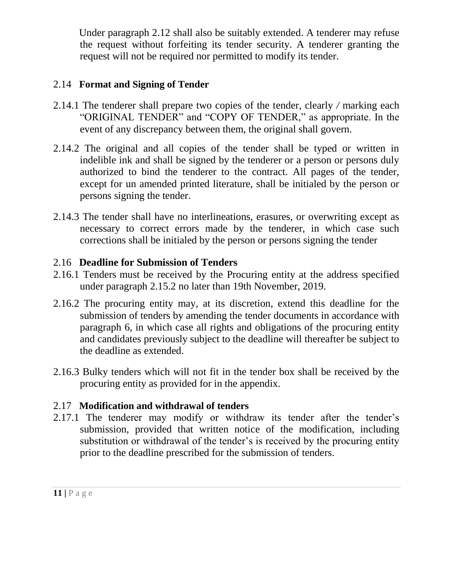Under paragraph 2.12 shall also be suitably extended. A tenderer may refuse the request without forfeiting its tender security. A tenderer granting the request will not be required nor permitted to modify its tender.

# 2.14 **Format and Signing of Tender**

- 2.14.1 The tenderer shall prepare two copies of the tender, clearly */* marking each "ORIGINAL TENDER" and "COPY OF TENDER," as appropriate. In the event of any discrepancy between them, the original shall govern.
- 2.14.2 The original and all copies of the tender shall be typed or written in indelible ink and shall be signed by the tenderer or a person or persons duly authorized to bind the tenderer to the contract. All pages of the tender, except for un amended printed literature, shall be initialed by the person or persons signing the tender.
- 2.14.3 The tender shall have no interlineations, erasures, or overwriting except as necessary to correct errors made by the tenderer, in which case such corrections shall be initialed by the person or persons signing the tender

# 2.16 **Deadline for Submission of Tenders**

- 2.16.1 Tenders must be received by the Procuring entity at the address specified under paragraph 2.15.2 no later than 19th November, 2019*.*
- 2.16.2 The procuring entity may, at its discretion, extend this deadline for the submission of tenders by amending the tender documents in accordance with paragraph 6, in which case all rights and obligations of the procuring entity and candidates previously subject to the deadline will thereafter be subject to the deadline as extended.
- 2.16.3 Bulky tenders which will not fit in the tender box shall be received by the procuring entity as provided for in the appendix.

# 2.17 **Modification and withdrawal of tenders**

2.17.1 The tenderer may modify or withdraw its tender after the tender's submission, provided that written notice of the modification, including substitution or withdrawal of the tender's is received by the procuring entity prior to the deadline prescribed for the submission of tenders.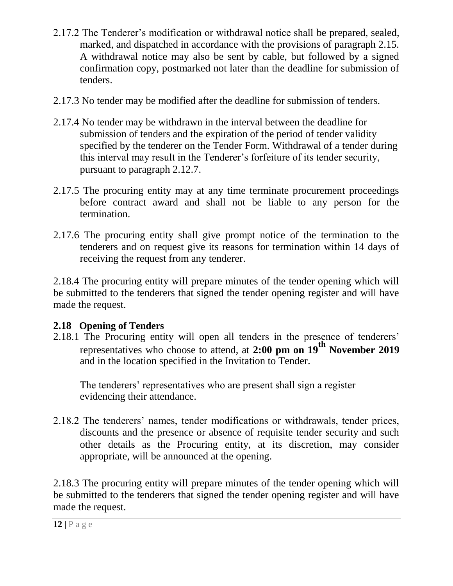- 2.17.2 The Tenderer's modification or withdrawal notice shall be prepared, sealed, marked, and dispatched in accordance with the provisions of paragraph 2.15. A withdrawal notice may also be sent by cable, but followed by a signed confirmation copy, postmarked not later than the deadline for submission of tenders.
- 2.17.3 No tender may be modified after the deadline for submission of tenders.
- 2.17.4 No tender may be withdrawn in the interval between the deadline for submission of tenders and the expiration of the period of tender validity specified by the tenderer on the Tender Form. Withdrawal of a tender during this interval may result in the Tenderer's forfeiture of its tender security, pursuant to paragraph 2.12.7.
- 2.17.5 The procuring entity may at any time terminate procurement proceedings before contract award and shall not be liable to any person for the termination.
- 2.17.6 The procuring entity shall give prompt notice of the termination to the tenderers and on request give its reasons for termination within 14 days of receiving the request from any tenderer.

2.18.4 The procuring entity will prepare minutes of the tender opening which will be submitted to the tenderers that signed the tender opening register and will have made the request.

# **2.18 Opening of Tenders**

2.18.1 The Procuring entity will open all tenders in the presence of tenderers' representatives who choose to attend, at **2:00 pm on 19th November 2019** and in the location specified in the Invitation to Tender.

The tenderers' representatives who are present shall sign a register evidencing their attendance.

2.18.2 The tenderers' names, tender modifications or withdrawals, tender prices, discounts and the presence or absence of requisite tender security and such other details as the Procuring entity, at its discretion, may consider appropriate, will be announced at the opening.

2.18.3 The procuring entity will prepare minutes of the tender opening which will be submitted to the tenderers that signed the tender opening register and will have made the request.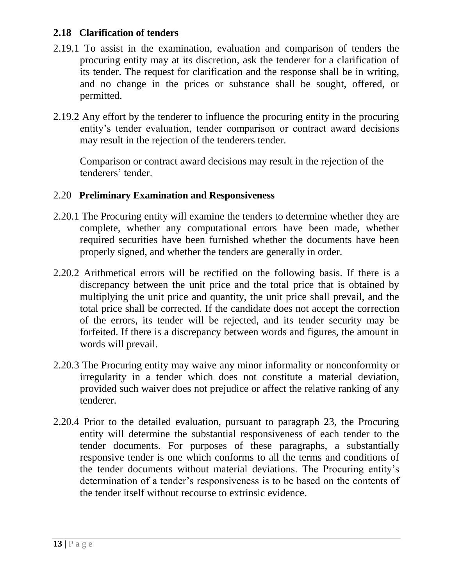# **2.18 Clarification of tenders**

- 2.19.1 To assist in the examination, evaluation and comparison of tenders the procuring entity may at its discretion, ask the tenderer for a clarification of its tender. The request for clarification and the response shall be in writing, and no change in the prices or substance shall be sought, offered, or permitted.
- 2.19.2 Any effort by the tenderer to influence the procuring entity in the procuring entity's tender evaluation, tender comparison or contract award decisions may result in the rejection of the tenderers tender.

Comparison or contract award decisions may result in the rejection of the tenderers' tender.

# 2.20 **Preliminary Examination and Responsiveness**

- 2.20.1 The Procuring entity will examine the tenders to determine whether they are complete, whether any computational errors have been made, whether required securities have been furnished whether the documents have been properly signed, and whether the tenders are generally in order.
- 2.20.2 Arithmetical errors will be rectified on the following basis. If there is a discrepancy between the unit price and the total price that is obtained by multiplying the unit price and quantity, the unit price shall prevail, and the total price shall be corrected. If the candidate does not accept the correction of the errors, its tender will be rejected, and its tender security may be forfeited. If there is a discrepancy between words and figures, the amount in words will prevail.
- 2.20.3 The Procuring entity may waive any minor informality or nonconformity or irregularity in a tender which does not constitute a material deviation, provided such waiver does not prejudice or affect the relative ranking of any tenderer.
- 2.20.4 Prior to the detailed evaluation, pursuant to paragraph 23, the Procuring entity will determine the substantial responsiveness of each tender to the tender documents. For purposes of these paragraphs, a substantially responsive tender is one which conforms to all the terms and conditions of the tender documents without material deviations. The Procuring entity's determination of a tender's responsiveness is to be based on the contents of the tender itself without recourse to extrinsic evidence.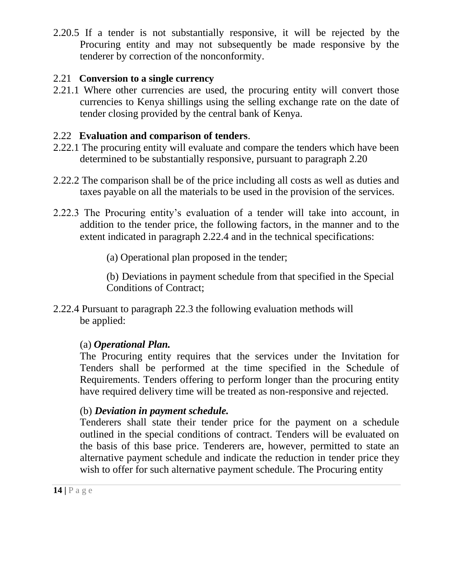2.20.5 If a tender is not substantially responsive, it will be rejected by the Procuring entity and may not subsequently be made responsive by the tenderer by correction of the nonconformity.

# 2.21 **Conversion to a single currency**

2.21.1 Where other currencies are used, the procuring entity will convert those currencies to Kenya shillings using the selling exchange rate on the date of tender closing provided by the central bank of Kenya.

# 2.22 **Evaluation and comparison of tenders**.

- 2.22.1 The procuring entity will evaluate and compare the tenders which have been determined to be substantially responsive, pursuant to paragraph 2.20
- 2.22.2 The comparison shall be of the price including all costs as well as duties and taxes payable on all the materials to be used in the provision of the services.
- 2.22.3 The Procuring entity's evaluation of a tender will take into account, in addition to the tender price, the following factors, in the manner and to the extent indicated in paragraph 2.22.4 and in the technical specifications:

(a) Operational plan proposed in the tender;

(b) Deviations in payment schedule from that specified in the Special Conditions of Contract;

2.22.4 Pursuant to paragraph 22.3 the following evaluation methods will be applied:

# (a) *Operational Plan.*

The Procuring entity requires that the services under the Invitation for Tenders shall be performed at the time specified in the Schedule of Requirements. Tenders offering to perform longer than the procuring entity have required delivery time will be treated as non-responsive and rejected.

# (b) *Deviation in payment schedule.*

Tenderers shall state their tender price for the payment on a schedule outlined in the special conditions of contract. Tenders will be evaluated on the basis of this base price. Tenderers are, however, permitted to state an alternative payment schedule and indicate the reduction in tender price they wish to offer for such alternative payment schedule. The Procuring entity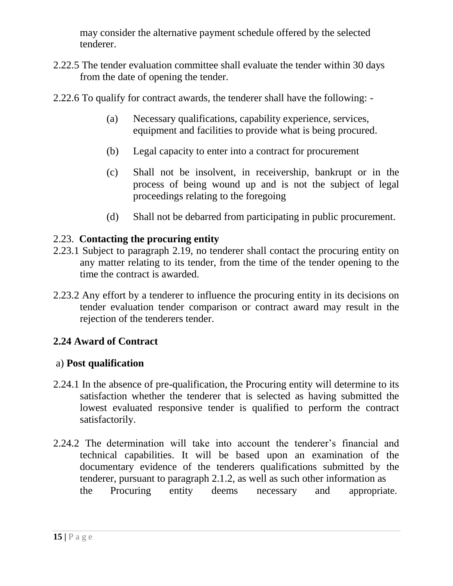may consider the alternative payment schedule offered by the selected tenderer.

- 2.22.5 The tender evaluation committee shall evaluate the tender within 30 days from the date of opening the tender.
- 2.22.6 To qualify for contract awards, the tenderer shall have the following:
	- (a) Necessary qualifications, capability experience, services, equipment and facilities to provide what is being procured.
	- (b) Legal capacity to enter into a contract for procurement
	- (c) Shall not be insolvent, in receivership, bankrupt or in the process of being wound up and is not the subject of legal proceedings relating to the foregoing
	- (d) Shall not be debarred from participating in public procurement.

# 2.23. **Contacting the procuring entity**

- 2.23.1 Subject to paragraph 2.19, no tenderer shall contact the procuring entity on any matter relating to its tender, from the time of the tender opening to the time the contract is awarded.
- 2.23.2 Any effort by a tenderer to influence the procuring entity in its decisions on tender evaluation tender comparison or contract award may result in the rejection of the tenderers tender.

# **2.24 Award of Contract**

## a) **Post qualification**

- 2.24.1 In the absence of pre-qualification, the Procuring entity will determine to its satisfaction whether the tenderer that is selected as having submitted the lowest evaluated responsive tender is qualified to perform the contract satisfactorily.
- 2.24.2 The determination will take into account the tenderer's financial and technical capabilities. It will be based upon an examination of the documentary evidence of the tenderers qualifications submitted by the tenderer, pursuant to paragraph 2.1.2, as well as such other information as the Procuring entity deems necessary and appropriate.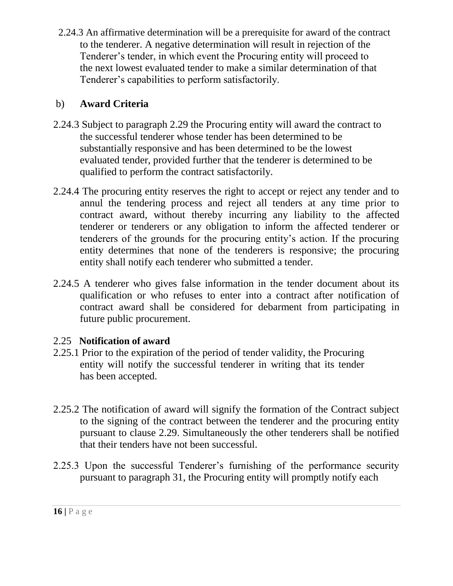2.24.3 An affirmative determination will be a prerequisite for award of the contract to the tenderer. A negative determination will result in rejection of the Tenderer's tender, in which event the Procuring entity will proceed to the next lowest evaluated tender to make a similar determination of that Tenderer's capabilities to perform satisfactorily.

# b) **Award Criteria**

- 2.24.3 Subject to paragraph 2.29 the Procuring entity will award the contract to the successful tenderer whose tender has been determined to be substantially responsive and has been determined to be the lowest evaluated tender, provided further that the tenderer is determined to be qualified to perform the contract satisfactorily.
- 2.24.4 The procuring entity reserves the right to accept or reject any tender and to annul the tendering process and reject all tenders at any time prior to contract award, without thereby incurring any liability to the affected tenderer or tenderers or any obligation to inform the affected tenderer or tenderers of the grounds for the procuring entity's action. If the procuring entity determines that none of the tenderers is responsive; the procuring entity shall notify each tenderer who submitted a tender.
- 2.24.5 A tenderer who gives false information in the tender document about its qualification or who refuses to enter into a contract after notification of contract award shall be considered for debarment from participating in future public procurement.

# 2.25 **Notification of award**

- 2.25.1 Prior to the expiration of the period of tender validity, the Procuring entity will notify the successful tenderer in writing that its tender has been accepted.
- 2.25.2 The notification of award will signify the formation of the Contract subject to the signing of the contract between the tenderer and the procuring entity pursuant to clause 2.29. Simultaneously the other tenderers shall be notified that their tenders have not been successful.
- 2.25.3 Upon the successful Tenderer's furnishing of the performance security pursuant to paragraph 31, the Procuring entity will promptly notify each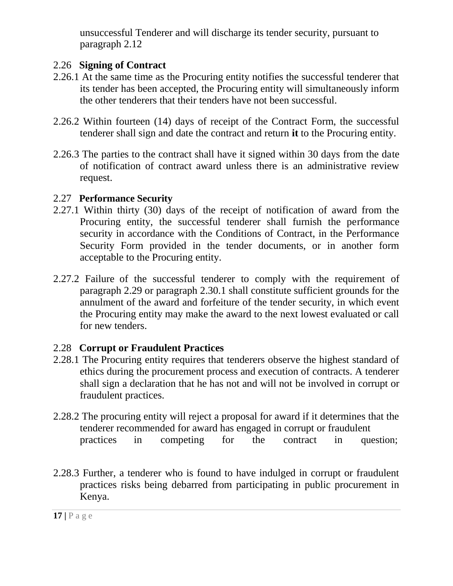unsuccessful Tenderer and will discharge its tender security, pursuant to paragraph 2.12

# 2.26 **Signing of Contract**

- 2.26.1 At the same time as the Procuring entity notifies the successful tenderer that its tender has been accepted, the Procuring entity will simultaneously inform the other tenderers that their tenders have not been successful.
- 2.26.2 Within fourteen (14) days of receipt of the Contract Form, the successful tenderer shall sign and date the contract and return **it** to the Procuring entity.
- 2.26.3 The parties to the contract shall have it signed within 30 days from the date of notification of contract award unless there is an administrative review request.

# 2.27 **Performance Security**

- 2.27.1 Within thirty (30) days of the receipt of notification of award from the Procuring entity, the successful tenderer shall furnish the performance security in accordance with the Conditions of Contract, in the Performance Security Form provided in the tender documents, or in another form acceptable to the Procuring entity.
- 2.27.2 Failure of the successful tenderer to comply with the requirement of paragraph 2.29 or paragraph 2.30.1 shall constitute sufficient grounds for the annulment of the award and forfeiture of the tender security, in which event the Procuring entity may make the award to the next lowest evaluated or call for new tenders.

# 2.28 **Corrupt or Fraudulent Practices**

- 2.28.1 The Procuring entity requires that tenderers observe the highest standard of ethics during the procurement process and execution of contracts. A tenderer shall sign a declaration that he has not and will not be involved in corrupt or fraudulent practices.
- 2.28.2 The procuring entity will reject a proposal for award if it determines that the tenderer recommended for award has engaged in corrupt or fraudulent practices in competing for the contract in question;
- 2.28.3 Further, a tenderer who is found to have indulged in corrupt or fraudulent practices risks being debarred from participating in public procurement in Kenya.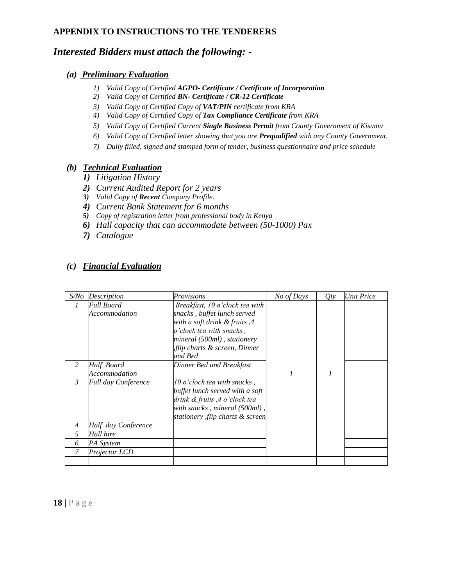#### **APPENDIX TO INSTRUCTIONS TO THE TENDERERS**

#### *Interested Bidders must attach the following: -*

#### *(a) Preliminary Evaluation*

- *1) Valid Copy of Certified AGPO- Certificate / Certificate of Incorporation*
- *2) Valid Copy of Certified BN- Certificate / CR-12 Certificate*
- *3) Valid Copy of Certified Copy of VAT/PIN certificate from KRA*
- *4) Valid Copy of Certified Copy of Tax Compliance Certificate from KRA*
- *5) Valid Copy of Certified Current Single Business Permit from County Government of Kisumu*
- *6) Valid Copy of Certified letter showing that you are Prequalified with any County Government.*
- *7) Dully filled, signed and stamped form of tender, business questionnaire and price schedule*

#### *(b) Technical Evaluation*

- *1) Litigation History*
- *2) Current Audited Report for 2 years*
- *3) Valid Copy of Recent Company Profile.*
- *4) Current Bank Statement for 6 months*
- *5) Copy of registration letter from professional body in Kenya*
- *6) Hall capacity that can accommodate between (50-1000) Pax*
- *7) Catalogue*

#### *(c) Financial Evaluation*

| S/No           | Description                | Provisions                      | No of Days | Qty | <b>Unit Price</b> |
|----------------|----------------------------|---------------------------------|------------|-----|-------------------|
| $\mathcal{I}$  | Full Board                 | Breakfast, 10 o'clock tea with  |            |     |                   |
|                | Accommodation              | snacks, buffet lunch served     |            |     |                   |
|                |                            | with a soft drink & fruits, 4   |            |     |                   |
|                |                            | o'clock tea with snacks,        |            |     |                   |
|                |                            | mineral (500ml), stationery     |            |     |                   |
|                |                            | flip charts & screen, Dinner,   |            |     |                   |
|                |                            | and Bed                         |            |     |                   |
| 2              | Half Board                 | Dinner Bed and Breakfast        |            |     |                   |
|                | Accommodation              |                                 |            |     |                   |
| 3              | <b>Full day Conference</b> | $10$ o'clock tea with snacks,   |            |     |                   |
|                |                            | buffet lunch served with a soft |            |     |                   |
|                |                            | drink & fruits ,4 o'clock tea   |            |     |                   |
|                |                            | with snacks, mineral (500ml),   |            |     |                   |
|                |                            | stationery flip charts & screen |            |     |                   |
| $\overline{4}$ | Half day Conference        |                                 |            |     |                   |
| 5              | Hall hire                  |                                 |            |     |                   |
| 6              | PA System                  |                                 |            |     |                   |
| 7              | Projector LCD              |                                 |            |     |                   |
|                |                            |                                 |            |     |                   |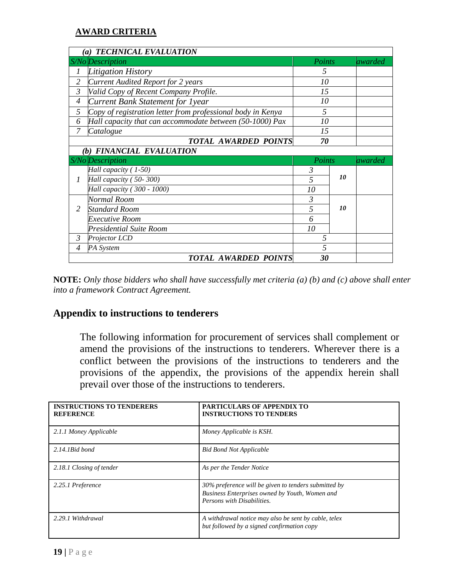#### **AWARD CRITERIA**

|                | (a) TECHNICAL EVALUATION                                    |                |    |          |
|----------------|-------------------------------------------------------------|----------------|----|----------|
|                | S/No Description                                            | Points         |    | lawarded |
| 1              | Litigation History                                          | 5              |    |          |
| $\overline{2}$ | <b>Current Audited Report for 2 years</b>                   | 10             |    |          |
| 3              | Valid Copy of Recent Company Profile.                       | 15             |    |          |
| $\overline{4}$ | Current Bank Statement for 1year                            | 10             |    |          |
| 5              | Copy of registration letter from professional body in Kenya | 5              |    |          |
| 6              | Hall capacity that can accommodate between (50-1000) Pax    | 10             |    |          |
| 7              | Catalogue                                                   | 15             |    |          |
|                | <b>TOTAL AWARDED POINTS</b>                                 | 70             |    |          |
|                | (b) FINANCIAL EVALUATION                                    |                |    |          |
|                |                                                             |                |    |          |
|                | S/No Description                                            | Points         |    | awarded  |
|                | Hall capacity (1-50)                                        | 3              |    |          |
| 1              | Hall capacity (50-300)                                      | 5              | 10 |          |
|                | Hall capacity (300 - 1000)                                  | 10             |    |          |
|                | Normal Room                                                 | 3              |    |          |
| 2              | <b>Standard Room</b>                                        | 5              | 10 |          |
|                | Executive Room                                              | 6              |    |          |
|                | <b>Presidential Suite Room</b>                              | 10             |    |          |
| $\mathfrak{Z}$ | Projector LCD                                               | 5              |    |          |
| 4              | PA System                                                   | $\overline{5}$ |    |          |

**NOTE:** *Only those bidders who shall have successfully met criteria (a) (b) and (c) above shall enter into a framework Contract Agreement.*

#### **Appendix to instructions to tenderers**

The following information for procurement of services shall complement or amend the provisions of the instructions to tenderers. Wherever there is a conflict between the provisions of the instructions to tenderers and the provisions of the appendix, the provisions of the appendix herein shall prevail over those of the instructions to tenderers.

| <b>INSTRUCTIONS TO TENDERERS</b><br><b>REFERENCE</b> | PARTICULARS OF APPENDIX TO<br><b>INSTRUCTIONS TO TENDERS</b>                                                                         |
|------------------------------------------------------|--------------------------------------------------------------------------------------------------------------------------------------|
| 2.1.1 Money Applicable                               | Money Applicable is KSH.                                                                                                             |
| $2.14.1$ Bid bond                                    | <b>Bid Bond Not Applicable</b>                                                                                                       |
| 2.18.1 Closing of tender                             | As per the Tender Notice                                                                                                             |
| 2.25.1 Preference                                    | 30% preference will be given to tenders submitted by<br>Business Enterprises owned by Youth, Women and<br>Persons with Disabilities. |
| 2.29.1 Withdrawal                                    | A withdrawal notice may also be sent by cable, telex<br>but followed by a signed confirmation copy                                   |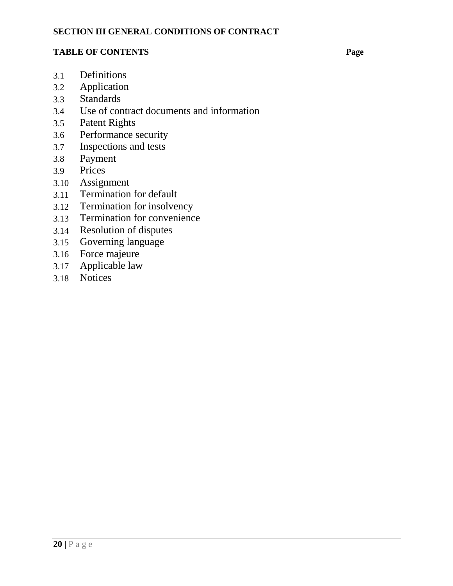#### **SECTION III GENERAL CONDITIONS OF CONTRACT**

#### **TABLE OF CONTENTS Page**

- 3.1 Definitions
- 3.2 Application
- 3.3 Standards
- 3.4 Use of contract documents and information
- 3.5 Patent Rights
- 3.6 Performance security
- 3.7 Inspections and tests
- 3.8 Payment
- 3.9 Prices
- 3.10 Assignment
- 3.11 Termination for default
- 3.12 Termination for insolvency
- 3.13 Termination for convenience
- 3.14 Resolution of disputes
- 3.15 Governing language
- 3.16 Force majeure
- 3.17 Applicable law
- 3.18 Notices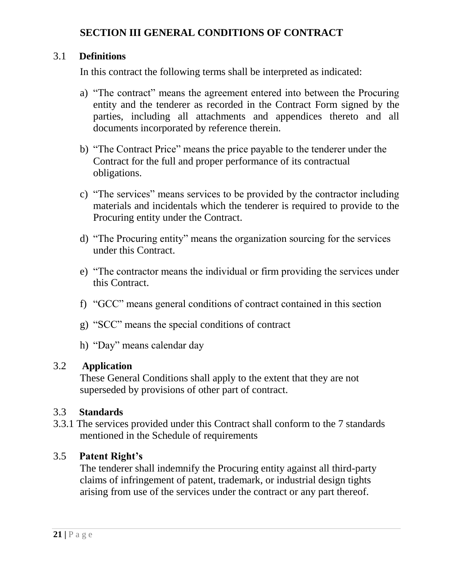# **SECTION III GENERAL CONDITIONS OF CONTRACT**

#### 3.1 **Definitions**

In this contract the following terms shall be interpreted as indicated:

- a) "The contract" means the agreement entered into between the Procuring entity and the tenderer as recorded in the Contract Form signed by the parties, including all attachments and appendices thereto and all documents incorporated by reference therein.
- b) "The Contract Price" means the price payable to the tenderer under the Contract for the full and proper performance of its contractual obligations.
- c) "The services" means services to be provided by the contractor including materials and incidentals which the tenderer is required to provide to the Procuring entity under the Contract.
- d) "The Procuring entity" means the organization sourcing for the services under this Contract.
- e) "The contractor means the individual or firm providing the services under this Contract.
- f) "GCC" means general conditions of contract contained in this section
- g) "SCC" means the special conditions of contract
- h) "Day" means calendar day

#### 3.2 **Application**

These General Conditions shall apply to the extent that they are not superseded by provisions of other part of contract.

## 3.3 **Standards**

3.3.1 The services provided under this Contract shall conform to the 7 standards mentioned in the Schedule of requirements

## 3.5 **Patent Right's**

The tenderer shall indemnify the Procuring entity against all third-party claims of infringement of patent, trademark, or industrial design tights arising from use of the services under the contract or any part thereof.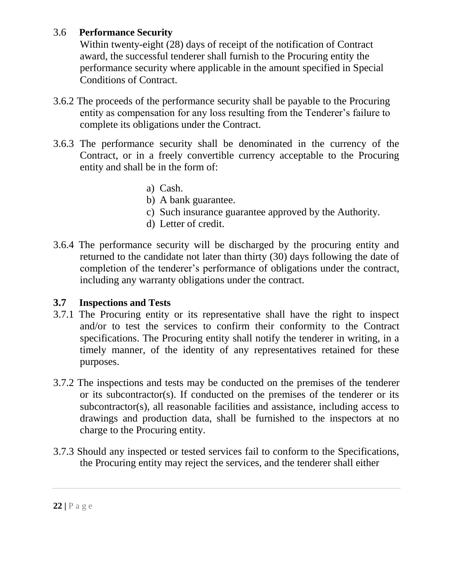# 3.6 **Performance Security**

Within twenty-eight (28) days of receipt of the notification of Contract award, the successful tenderer shall furnish to the Procuring entity the performance security where applicable in the amount specified in Special Conditions of Contract.

- 3.6.2 The proceeds of the performance security shall be payable to the Procuring entity as compensation for any loss resulting from the Tenderer's failure to complete its obligations under the Contract.
- 3.6.3 The performance security shall be denominated in the currency of the Contract, or in a freely convertible currency acceptable to the Procuring entity and shall be in the form of:
	- a) Cash.
	- b) A bank guarantee.
	- c) Such insurance guarantee approved by the Authority.
	- d) Letter of credit.
- 3.6.4 The performance security will be discharged by the procuring entity and returned to the candidate not later than thirty (30) days following the date of completion of the tenderer's performance of obligations under the contract, including any warranty obligations under the contract.

# **3.7 Inspections and Tests**

- 3.7.1 The Procuring entity or its representative shall have the right to inspect and/or to test the services to confirm their conformity to the Contract specifications. The Procuring entity shall notify the tenderer in writing, in a timely manner, of the identity of any representatives retained for these purposes.
- 3.7.2 The inspections and tests may be conducted on the premises of the tenderer or its subcontractor(s). If conducted on the premises of the tenderer or its subcontractor(s), all reasonable facilities and assistance, including access to drawings and production data, shall be furnished to the inspectors at no charge to the Procuring entity.
- 3.7.3 Should any inspected or tested services fail to conform to the Specifications, the Procuring entity may reject the services, and the tenderer shall either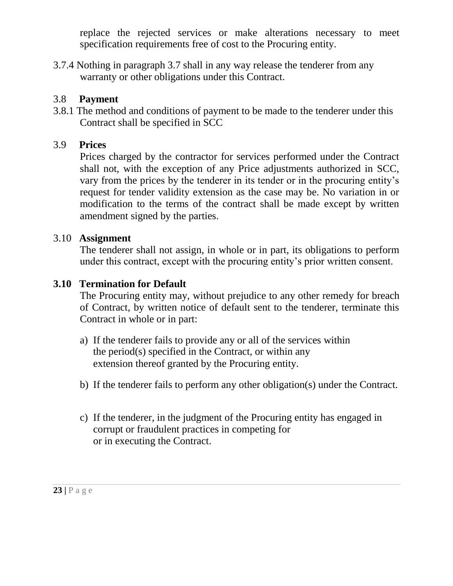replace the rejected services or make alterations necessary to meet specification requirements free of cost to the Procuring entity.

3.7.4 Nothing in paragraph 3.7 shall in any way release the tenderer from any warranty or other obligations under this Contract.

# 3.8 **Payment**

3.8.1 The method and conditions of payment to be made to the tenderer under this Contract shall be specified in SCC

# 3.9 **Prices**

Prices charged by the contractor for services performed under the Contract shall not, with the exception of any Price adjustments authorized in SCC, vary from the prices by the tenderer in its tender or in the procuring entity's request for tender validity extension as the case may be. No variation in or modification to the terms of the contract shall be made except by written amendment signed by the parties.

# 3.10 **Assignment**

The tenderer shall not assign, in whole or in part, its obligations to perform under this contract, except with the procuring entity's prior written consent.

# **3.10 Termination for Default**

The Procuring entity may, without prejudice to any other remedy for breach of Contract, by written notice of default sent to the tenderer, terminate this Contract in whole or in part:

- a) If the tenderer fails to provide any or all of the services within the period(s) specified in the Contract, or within any extension thereof granted by the Procuring entity.
- b) If the tenderer fails to perform any other obligation(s) under the Contract.
- c) If the tenderer, in the judgment of the Procuring entity has engaged in corrupt or fraudulent practices in competing for or in executing the Contract.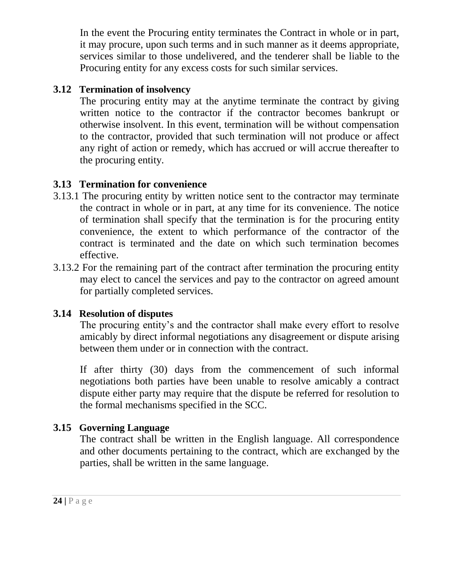In the event the Procuring entity terminates the Contract in whole or in part, it may procure, upon such terms and in such manner as it deems appropriate, services similar to those undelivered, and the tenderer shall be liable to the Procuring entity for any excess costs for such similar services.

# **3.12 Termination of insolvency**

The procuring entity may at the anytime terminate the contract by giving written notice to the contractor if the contractor becomes bankrupt or otherwise insolvent. In this event, termination will be without compensation to the contractor, provided that such termination will not produce or affect any right of action or remedy, which has accrued or will accrue thereafter to the procuring entity.

# **3.13 Termination for convenience**

- 3.13.1 The procuring entity by written notice sent to the contractor may terminate the contract in whole or in part, at any time for its convenience. The notice of termination shall specify that the termination is for the procuring entity convenience, the extent to which performance of the contractor of the contract is terminated and the date on which such termination becomes effective.
- 3.13.2 For the remaining part of the contract after termination the procuring entity may elect to cancel the services and pay to the contractor on agreed amount for partially completed services.

# **3.14 Resolution of disputes**

The procuring entity's and the contractor shall make every effort to resolve amicably by direct informal negotiations any disagreement or dispute arising between them under or in connection with the contract.

If after thirty (30) days from the commencement of such informal negotiations both parties have been unable to resolve amicably a contract dispute either party may require that the dispute be referred for resolution to the formal mechanisms specified in the SCC.

# **3.15 Governing Language**

The contract shall be written in the English language. All correspondence and other documents pertaining to the contract, which are exchanged by the parties, shall be written in the same language.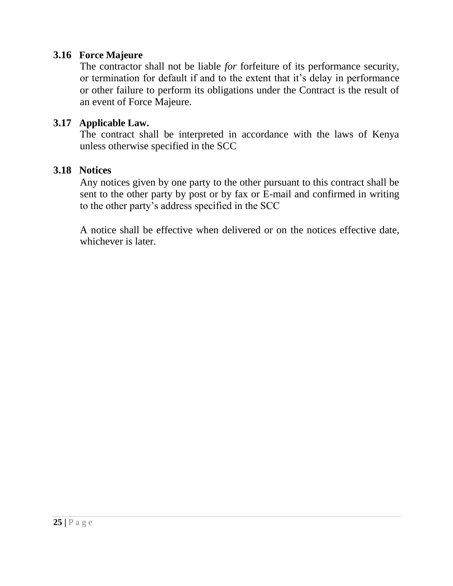# **3.16 Force Majeure**

The contractor shall not be liable *for* forfeiture of its performance security, or termination for default if and to the extent that it's delay in performance or other failure to perform its obligations under the Contract is the result of an event of Force Majeure.

## **3.17 Applicable Law.**

The contract shall be interpreted in accordance with the laws of Kenya unless otherwise specified in the SCC

## **3.18 Notices**

Any notices given by one party to the other pursuant to this contract shall be sent to the other party by post or by fax or E-mail and confirmed in writing to the other party's address specified in the SCC

A notice shall be effective when delivered or on the notices effective date, whichever is later.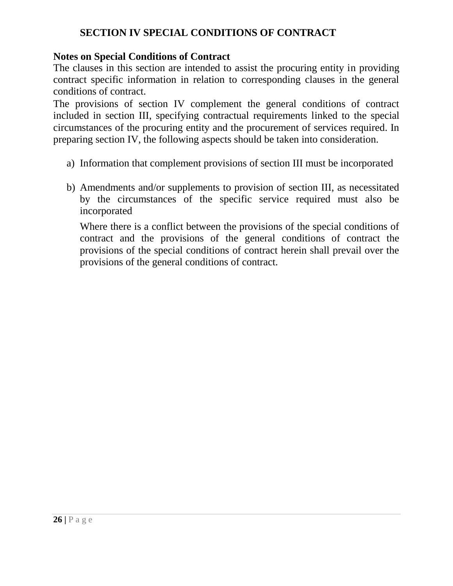# **SECTION IV SPECIAL CONDITIONS OF CONTRACT**

# **Notes on Special Conditions of Contract**

The clauses in this section are intended to assist the procuring entity in providing contract specific information in relation to corresponding clauses in the general conditions of contract.

The provisions of section IV complement the general conditions of contract included in section III, specifying contractual requirements linked to the special circumstances of the procuring entity and the procurement of services required. In preparing section IV, the following aspects should be taken into consideration.

- a) Information that complement provisions of section III must be incorporated
- b) Amendments and/or supplements to provision of section III, as necessitated by the circumstances of the specific service required must also be incorporated

Where there is a conflict between the provisions of the special conditions of contract and the provisions of the general conditions of contract the provisions of the special conditions of contract herein shall prevail over the provisions of the general conditions of contract.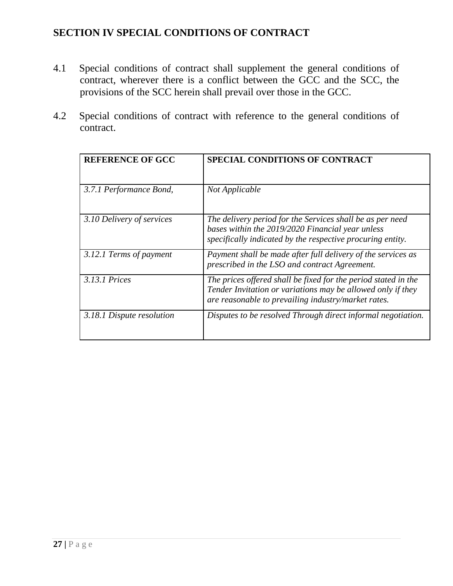# **SECTION IV SPECIAL CONDITIONS OF CONTRACT**

- 4.1 Special conditions of contract shall supplement the general conditions of contract, wherever there is a conflict between the GCC and the SCC, the provisions of the SCC herein shall prevail over those in the GCC.
- 4.2 Special conditions of contract with reference to the general conditions of contract.

| <b>REFERENCE OF GCC</b>   | <b>SPECIAL CONDITIONS OF CONTRACT</b>                                                                                                                                                |
|---------------------------|--------------------------------------------------------------------------------------------------------------------------------------------------------------------------------------|
| 3.7.1 Performance Bond,   | Not Applicable                                                                                                                                                                       |
| 3.10 Delivery of services | The delivery period for the Services shall be as per need<br>bases within the 2019/2020 Financial year unless<br>specifically indicated by the respective procuring entity.          |
| 3.12.1 Terms of payment   | Payment shall be made after full delivery of the services as<br>prescribed in the LSO and contract Agreement.                                                                        |
| 3.13.1 Prices             | The prices offered shall be fixed for the period stated in the<br>Tender Invitation or variations may be allowed only if they<br>are reasonable to prevailing industry/market rates. |
| 3.18.1 Dispute resolution | Disputes to be resolved Through direct informal negotiation.                                                                                                                         |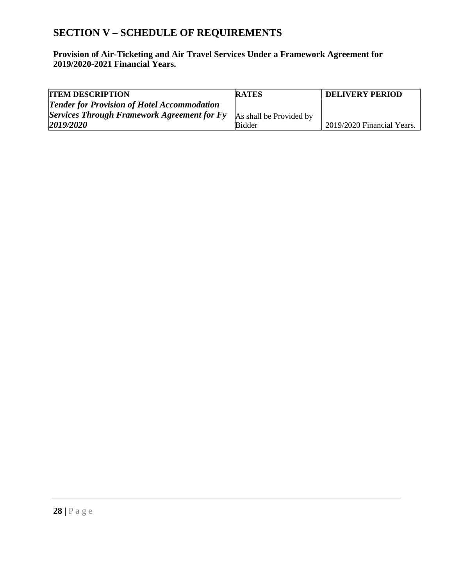# **SECTION V – SCHEDULE OF REQUIREMENTS**

**Provision of Air-Ticketing and Air Travel Services Under a Framework Agreement for 2019/2020-2021 Financial Years.**

| <b>ITEM DESCRIPTION</b>                            | <b>RATES</b>            | <b>DELIVERY PERIOD</b>     |
|----------------------------------------------------|-------------------------|----------------------------|
| <b>Tender for Provision of Hotel Accommodation</b> |                         |                            |
| Services Through Framework Agreement for Fy        | As shall be Provided by |                            |
| 2019/2020                                          | <b>Bidder</b>           | 2019/2020 Financial Years. |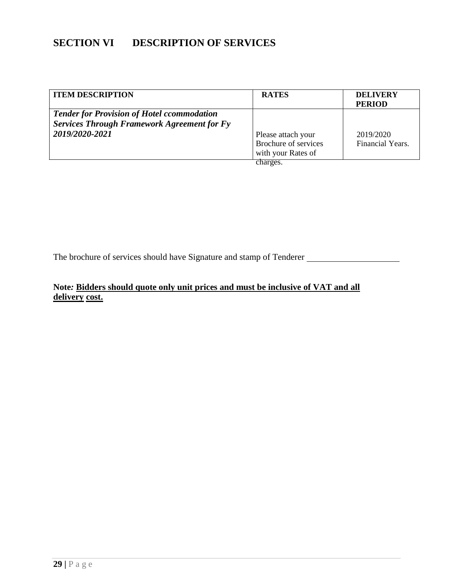# **SECTION VI DESCRIPTION OF SERVICES**

| <b>ITEM DESCRIPTION</b>                                                                                 | <b>RATES</b>                                                     | <b>DELIVERY</b><br><b>PERIOD</b> |
|---------------------------------------------------------------------------------------------------------|------------------------------------------------------------------|----------------------------------|
| <b>Tender for Provision of Hotel ccommodation</b><br><b>Services Through Framework Agreement for Fy</b> |                                                                  |                                  |
| 2019/2020-2021                                                                                          | Please attach your<br>Brochure of services<br>with your Rates of | 2019/2020<br>Financial Years.    |
|                                                                                                         | charges.                                                         |                                  |

The brochure of services should have Signature and stamp of Tenderer

#### **Note***:* **Bidders should quote only unit prices and must be inclusive of VAT and all delivery cost.**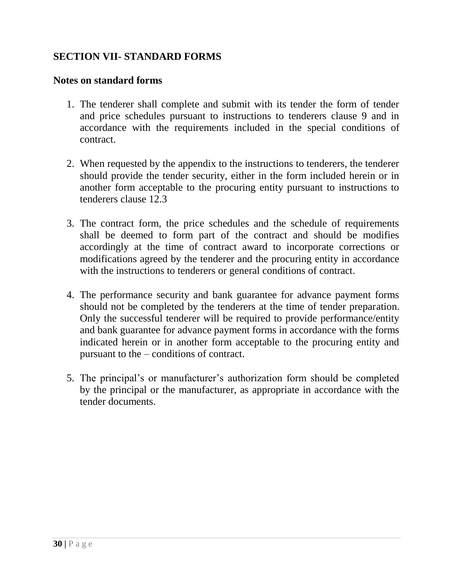# **SECTION VII- STANDARD FORMS**

#### **Notes on standard forms**

- 1. The tenderer shall complete and submit with its tender the form of tender and price schedules pursuant to instructions to tenderers clause 9 and in accordance with the requirements included in the special conditions of contract.
- 2. When requested by the appendix to the instructions to tenderers, the tenderer should provide the tender security, either in the form included herein or in another form acceptable to the procuring entity pursuant to instructions to tenderers clause 12.3
- 3. The contract form, the price schedules and the schedule of requirements shall be deemed to form part of the contract and should be modifies accordingly at the time of contract award to incorporate corrections or modifications agreed by the tenderer and the procuring entity in accordance with the instructions to tenderers or general conditions of contract.
- 4. The performance security and bank guarantee for advance payment forms should not be completed by the tenderers at the time of tender preparation. Only the successful tenderer will be required to provide performance/entity and bank guarantee for advance payment forms in accordance with the forms indicated herein or in another form acceptable to the procuring entity and pursuant to the – conditions of contract.
- 5. The principal's or manufacturer's authorization form should be completed by the principal or the manufacturer, as appropriate in accordance with the tender documents.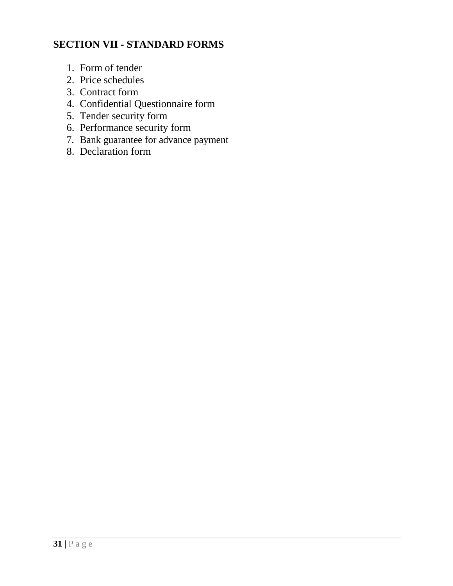# **SECTION VII - STANDARD FORMS**

- 1. Form of tender
- 2. Price schedules
- 3. Contract form
- 4. Confidential Questionnaire form
- 5. Tender security form
- 6. Performance security form
- 7. Bank guarantee for advance payment
- 8. Declaration form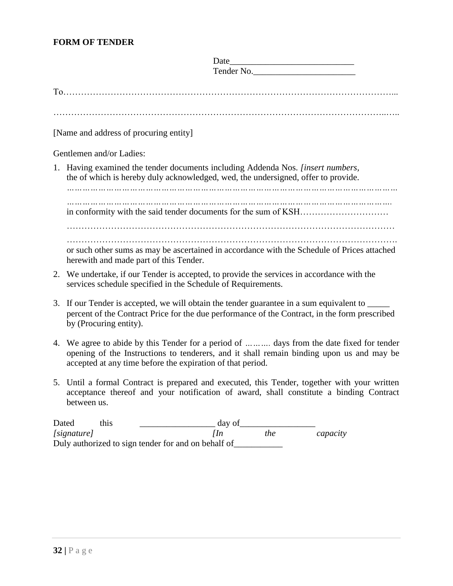#### **FORM OF TENDER**

|    | Tender No.                                                                                                                                                                                                                                      |
|----|-------------------------------------------------------------------------------------------------------------------------------------------------------------------------------------------------------------------------------------------------|
|    |                                                                                                                                                                                                                                                 |
|    |                                                                                                                                                                                                                                                 |
|    | [Name and address of procuring entity]                                                                                                                                                                                                          |
|    | Gentlemen and/or Ladies:                                                                                                                                                                                                                        |
|    | 1. Having examined the tender documents including Addenda Nos. <i>[insert numbers,</i><br>the of which is hereby duly acknowledged, wed, the undersigned, offer to provide.<br>                                                                 |
|    |                                                                                                                                                                                                                                                 |
|    |                                                                                                                                                                                                                                                 |
|    | or such other sums as may be ascertained in accordance with the Schedule of Prices attached<br>herewith and made part of this Tender.                                                                                                           |
|    | 2. We undertake, if our Tender is accepted, to provide the services in accordance with the<br>services schedule specified in the Schedule of Requirements.                                                                                      |
|    | 3. If our Tender is accepted, we will obtain the tender guarantee in a sum equivalent to ____<br>percent of the Contract Price for the due performance of the Contract, in the form prescribed<br>by (Procuring entity).                        |
| 4. | We agree to abide by this Tender for a period of  days from the date fixed for tender<br>opening of the Instructions to tenderers, and it shall remain binding upon us and may be<br>accepted at any time before the expiration of that period. |
|    | 5. Until a formal Contract is prepared and executed, this Tender, together with your written<br>acceptance thereof and your notification of award, shall constitute a binding Contract<br>between us.                                           |
|    |                                                                                                                                                                                                                                                 |

Dated this  $\frac{day \text{ of }{ln}}{ln}$  day of  $\frac{day}{the}$  capacity  $[signature]$ Duly authorized to sign tender for and on behalf of\_\_\_\_\_\_\_\_\_\_\_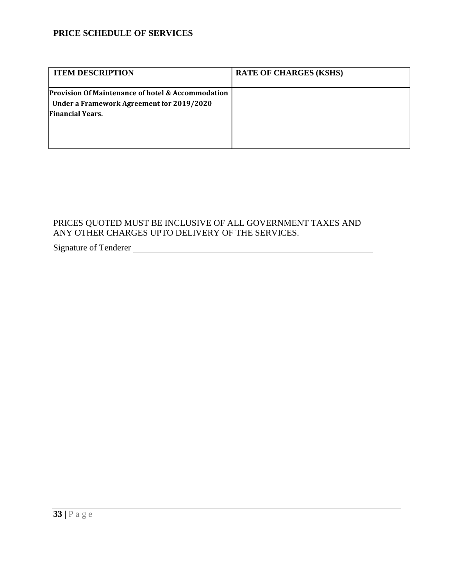#### **PRICE SCHEDULE OF SERVICES**

| <b>ITEM DESCRIPTION</b>                                                                                                   | <b>RATE OF CHARGES (KSHS)</b> |
|---------------------------------------------------------------------------------------------------------------------------|-------------------------------|
| Provision Of Maintenance of hotel & Accommodation<br>Under a Framework Agreement for 2019/2020<br><b>Financial Years.</b> |                               |

#### PRICES QUOTED MUST BE INCLUSIVE OF ALL GOVERNMENT TAXES AND ANY OTHER CHARGES UPTO DELIVERY OF THE SERVICES.

# Signature of Tenderer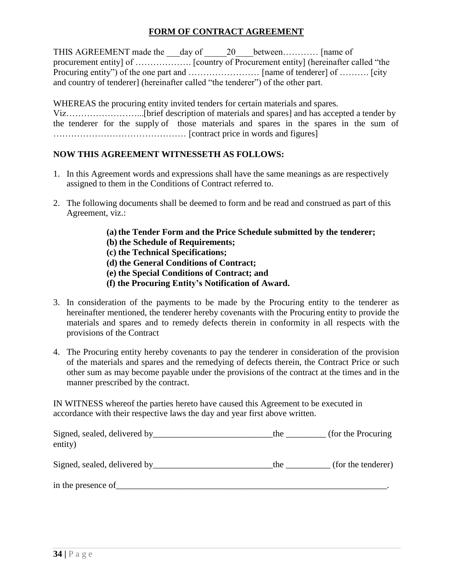#### **FORM OF CONTRACT AGREEMENT**

THIS AGREEMENT made the \_\_\_day of \_\_\_\_\_20\_\_\_\_between............. [name of procurement entity] of ………………. [country of Procurement entity] (hereinafter called "the Procuring entity") of the one part and …………………… [name of tenderer] of ………. [city and country of tenderer] (hereinafter called "the tenderer") of the other part.

WHEREAS the procuring entity invited tenders for certain materials and spares. Viz……………………...[brief description of materials and spares] and has accepted a tender by the tenderer for the supply of those materials and spares in the spares in the sum of ……………………………………… [contract price in words and figures]

#### **NOW THIS AGREEMENT WITNESSETH AS FOLLOWS:**

- 1. In this Agreement words and expressions shall have the same meanings as are respectively assigned to them in the Conditions of Contract referred to.
- 2. The following documents shall be deemed to form and be read and construed as part of this Agreement, viz.:
	- (a) the Tender Form and the Price Schedule submitted by the tenderer;
	- **(b) the Schedule of Requirements;**
	- **(c) the Technical Specifications;**
	- **(d) the General Conditions of Contract;**
	- **(e) the Special Conditions of Contract; and**
	- **(f) the Procuring Entity's Notification of Award.**
- 3. In consideration of the payments to be made by the Procuring entity to the tenderer as hereinafter mentioned, the tenderer hereby covenants with the Procuring entity to provide the materials and spares and to remedy defects therein in conformity in all respects with the provisions of the Contract
- 4. The Procuring entity hereby covenants to pay the tenderer in consideration of the provision of the materials and spares and the remedying of defects therein, the Contract Price or such other sum as may become payable under the provisions of the contract at the times and in the manner prescribed by the contract.

IN WITNESS whereof the parties hereto have caused this Agreement to be executed in accordance with their respective laws the day and year first above written.

| Signed, sealed, delivered by ______<br>entity) | the | (for the Procuring) |
|------------------------------------------------|-----|---------------------|
| Signed, sealed, delivered by                   | the | (for the tenderer)  |
| in the presence of                             |     |                     |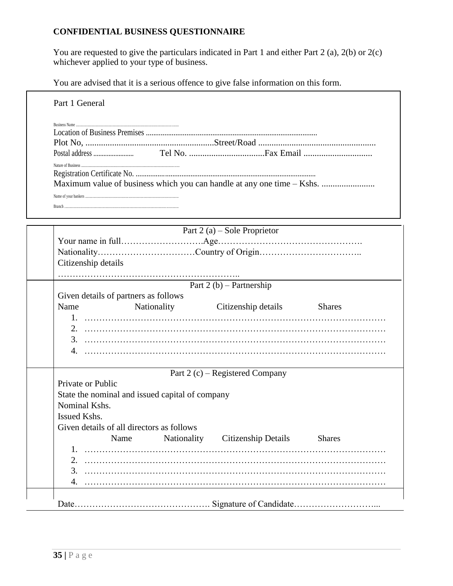#### **CONFIDENTIAL BUSINESS QUESTIONNAIRE**

You are requested to give the particulars indicated in Part 1 and either Part 2 (a), 2(b) or 2(c) whichever applied to your type of business.

You are advised that it is a serious offence to give false information on this form.

|                     | Maximum value of business which you can handle at any one time - Kshs. |                                 |               |
|---------------------|------------------------------------------------------------------------|---------------------------------|---------------|
|                     |                                                                        |                                 |               |
|                     |                                                                        |                                 |               |
|                     |                                                                        |                                 |               |
|                     |                                                                        | Part $2(a)$ – Sole Proprietor   |               |
|                     |                                                                        |                                 |               |
|                     |                                                                        |                                 |               |
| Citizenship details |                                                                        |                                 |               |
|                     |                                                                        |                                 |               |
|                     |                                                                        | Part $2(b)$ – Partnership       |               |
|                     | Given details of partners as follows                                   |                                 |               |
| Name                |                                                                        | Nationality Citizenship details | <b>Shares</b> |
|                     |                                                                        |                                 |               |
|                     |                                                                        |                                 |               |
|                     |                                                                        |                                 |               |
|                     |                                                                        |                                 |               |
|                     |                                                                        |                                 |               |
| Private or Public   |                                                                        | Part 2 (c) – Registered Company |               |
|                     |                                                                        |                                 |               |
| Nominal Kshs.       | State the nominal and issued capital of company                        |                                 |               |
| Issued Kshs.        |                                                                        |                                 |               |
|                     | Given details of all directors as follows                              |                                 |               |
|                     | Name                                                                   | Nationality Citizenship Details | <b>Shares</b> |
|                     |                                                                        |                                 |               |
| 2.                  |                                                                        |                                 |               |
|                     |                                                                        |                                 |               |
| 3.                  |                                                                        |                                 |               |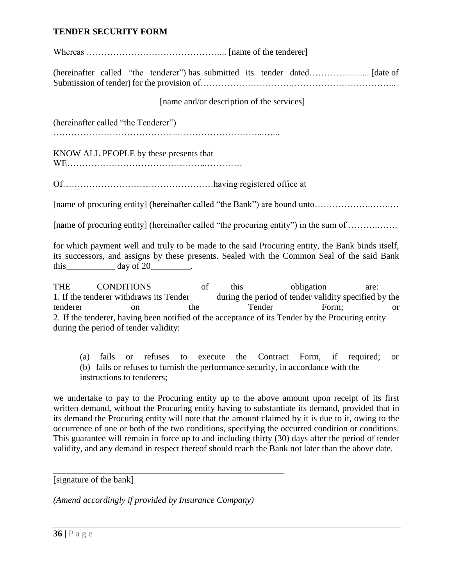#### **TENDER SECURITY FORM**

Whereas ………………………………………... [name of the tenderer]

(hereinafter called "the tenderer") has submitted its tender dated………………... [date of Submission of tender] for the provision of………………………….……………………………...

[name and/or description of the services]

(hereinafter called "the Tenderer")

……………………………………………………………...…...

KNOW ALL PEOPLE by these presents that

WE………………………………………...…………

Of……………………………………………having registered office at

[name of procuring entity] (hereinafter called "the Bank") are bound unto……………….…….…

[name of procuring entity] (hereinafter called "the procuring entity") in the sum of .........................

for which payment well and truly to be made to the said Procuring entity, the Bank binds itself, its successors, and assigns by these presents. Sealed with the Common Seal of the said Bank this day of  $20$ .

THE CONDITIONS of this obligation are: 1. If the tenderer withdraws its Tender during the period of tender validity specified by the tenderer on the Tender Form; or 2. If the tenderer, having been notified of the acceptance of its Tender by the Procuring entity during the period of tender validity:

(a) fails or refuses to execute the Contract Form, if required; or (b) fails or refuses to furnish the performance security, in accordance with the instructions to tenderers;

we undertake to pay to the Procuring entity up to the above amount upon receipt of its first written demand, without the Procuring entity having to substantiate its demand, provided that in its demand the Procuring entity will note that the amount claimed by it is due to it, owing to the occurrence of one or both of the two conditions, specifying the occurred condition or conditions. This guarantee will remain in force up to and including thirty (30) days after the period of tender validity, and any demand in respect thereof should reach the Bank not later than the above date.

[signature of the bank]

*(Amend accordingly if provided by Insurance Company)*

\_\_\_\_\_\_\_\_\_\_\_\_\_\_\_\_\_\_\_\_\_\_\_\_\_\_\_\_\_\_\_\_\_\_\_\_\_\_\_\_\_\_\_\_\_\_\_\_\_\_\_\_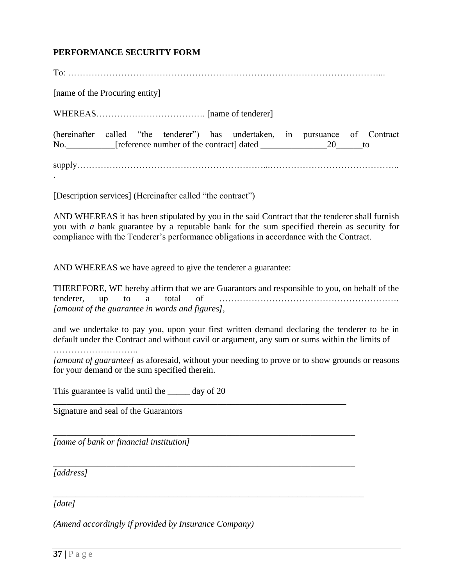#### **PERFORMANCE SECURITY FORM**

| [name of the Procuring entity]                                               |
|------------------------------------------------------------------------------|
|                                                                              |
| (hereinafter called "the tenderer") has undertaken, in pursuance of Contract |
|                                                                              |

[Description services] (Hereinafter called "the contract")

AND WHEREAS it has been stipulated by you in the said Contract that the tenderer shall furnish you with *a* bank guarantee by a reputable bank for the sum specified therein as security for compliance with the Tenderer's performance obligations in accordance with the Contract.

AND WHEREAS we have agreed to give the tenderer a guarantee:

THEREFORE, WE hereby affirm that we are Guarantors and responsible to you, on behalf of the tenderer, up to a total of ……………………………………………………. *[amount of the guarantee in words and figures],*

and we undertake to pay you, upon your first written demand declaring the tenderer to be in default under the Contract and without cavil or argument, any sum or sums within the limits of

………………………..

*[amount of guarantee]* as aforesaid, without your needing to prove or to show grounds or reasons for your demand or the sum specified therein.

\_\_\_\_\_\_\_\_\_\_\_\_\_\_\_\_\_\_\_\_\_\_\_\_\_\_\_\_\_\_\_\_\_\_\_\_\_\_\_\_\_\_\_\_\_\_\_\_\_\_\_\_\_\_\_\_\_\_\_\_\_\_\_\_\_\_

\_\_\_\_\_\_\_\_\_\_\_\_\_\_\_\_\_\_\_\_\_\_\_\_\_\_\_\_\_\_\_\_\_\_\_\_\_\_\_\_\_\_\_\_\_\_\_\_\_\_\_\_\_\_\_\_\_\_\_\_\_\_\_\_\_\_\_\_

*\_\_\_\_\_\_\_\_\_\_\_\_\_\_\_\_\_\_\_\_\_\_\_\_\_\_\_\_\_\_\_\_\_\_\_\_\_\_\_\_\_\_\_\_\_\_\_\_\_\_\_\_\_\_\_\_\_\_\_\_\_\_\_\_\_\_\_\_*

*\_\_\_\_\_\_\_\_\_\_\_\_\_\_\_\_\_\_\_\_\_\_\_\_\_\_\_\_\_\_\_\_\_\_\_\_\_\_\_\_\_\_\_\_\_\_\_\_\_\_\_\_\_\_\_\_\_\_\_\_\_\_\_\_\_\_\_\_\_\_*

This guarantee is valid until the \_\_\_\_\_\_ day of 20

Signature and seal of the Guarantors

*[name of bank or financial institution]*

*[address]*

*[date]*

*(Amend accordingly if provided by Insurance Company)*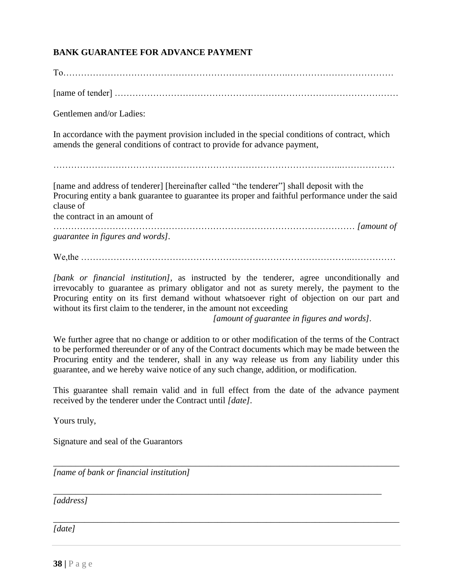#### **BANK GUARANTEE FOR ADVANCE PAYMENT**

To………………………………………………………………….………………………………

[name of tender] ……………………………………………………………………………………

Gentlemen and/or Ladies:

In accordance with the payment provision included in the special conditions of contract, which amends the general conditions of contract to provide for advance payment,

……………………………………………………………………………………..………………

[name and address of tenderer] [hereinafter called "the tenderer"] shall deposit with the Procuring entity a bank guarantee to guarantee its proper and faithful performance under the said clause of

the contract in an amount of

………………………………………………………………………………………… *[amount of guarantee in figures and words].*

We,the ………………………………………………………………………………..……………

*[bank or financial institution],* as instructed by the tenderer, agree unconditionally and irrevocably to guarantee as primary obligator and not as surety merely, the payment to the Procuring entity on its first demand without whatsoever right of objection on our part and without its first claim to the tenderer, in the amount not exceeding

*[amount of guarantee in figures and words].*

We further agree that no change or addition to or other modification of the terms of the Contract to be performed thereunder or of any of the Contract documents which may be made between the Procuring entity and the tenderer, shall in any way release us from any liability under this guarantee, and we hereby waive notice of any such change, addition, or modification.

This guarantee shall remain valid and in full effect from the date of the advance payment received by the tenderer under the Contract until *[date].*

\_\_\_\_\_\_\_\_\_\_\_\_\_\_\_\_\_\_\_\_\_\_\_\_\_\_\_\_\_\_\_\_\_\_\_\_\_\_\_\_\_\_\_\_\_\_\_\_\_\_\_\_\_\_\_\_\_\_\_\_\_\_\_\_\_\_\_\_\_\_\_\_\_\_\_\_\_\_

*\_\_\_\_\_\_\_\_\_\_\_\_\_\_\_\_\_\_\_\_\_\_\_\_\_\_\_\_\_\_\_\_\_\_\_\_\_\_\_\_\_\_\_\_\_\_\_\_\_\_\_\_\_\_\_\_\_\_\_\_\_\_\_\_\_\_\_\_\_\_\_\_\_\_\_\_\_\_*

*\_\_\_\_\_\_\_\_\_\_\_\_\_\_\_\_\_\_\_\_\_\_\_\_\_\_\_\_\_\_\_\_\_\_\_\_\_\_\_\_\_\_\_\_\_\_\_\_\_\_\_\_\_\_\_\_\_\_\_\_\_\_\_\_\_\_\_\_\_\_\_\_\_\_* 

Yours truly,

Signature and seal of the Guarantors

*[name of bank or financial institution]*

*[address]*

*[date]*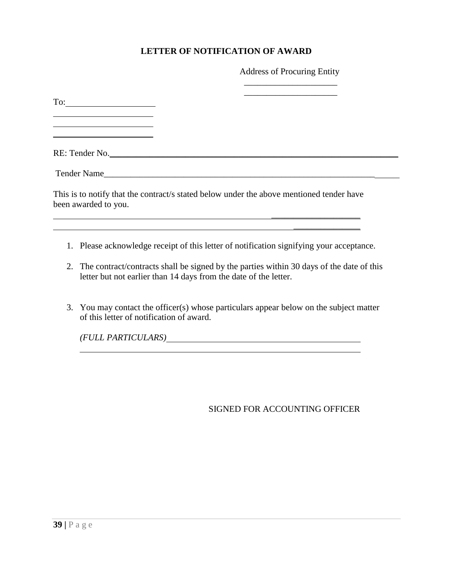#### **LETTER OF NOTIFICATION OF AWARD**

Address of Procuring Entity \_\_\_\_\_\_\_\_\_\_\_\_\_\_\_\_\_\_\_\_\_

| $\Gamma$ o: $\qquad \qquad$<br><u> Alexandria de la contrada de la contrada de la contrada de la contrada de la contrada de la contrada de la c</u> |  |  |
|-----------------------------------------------------------------------------------------------------------------------------------------------------|--|--|
| RE: Tender No.                                                                                                                                      |  |  |
|                                                                                                                                                     |  |  |
| This is to notify that the contract/s stated below under the above mentioned tender have<br>been awarded to you.                                    |  |  |
|                                                                                                                                                     |  |  |

- 1. Please acknowledge receipt of this letter of notification signifying your acceptance.
- 2. The contract/contracts shall be signed by the parties within 30 days of the date of this letter but not earlier than 14 days from the date of the letter.
- 3. You may contact the officer(s) whose particulars appear below on the subject matter of this letter of notification of award.

*(FULL PARTICULARS)*

SIGNED FOR ACCOUNTING OFFICER